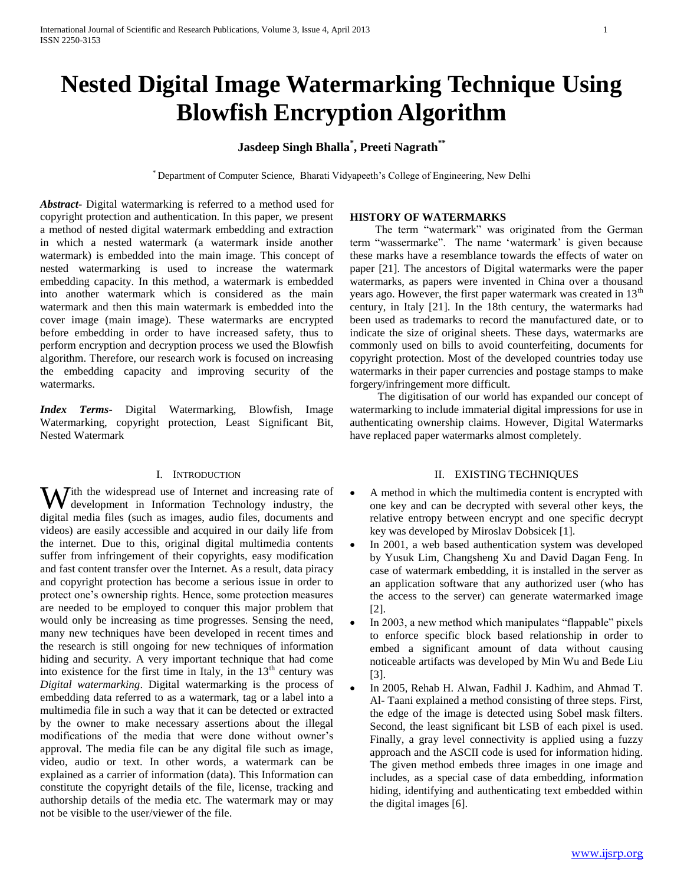# **Nested Digital Image Watermarking Technique Using Blowfish Encryption Algorithm**

# **Jasdeep Singh Bhalla\* , Preeti Nagrath\*\***

\* Department of Computer Science, Bharati Vidyapeeth"s College of Engineering, New Delhi

*Abstract***-** Digital watermarking is referred to a method used for copyright protection and authentication. In this paper, we present a method of nested digital watermark embedding and extraction in which a nested watermark (a watermark inside another watermark) is embedded into the main image. This concept of nested watermarking is used to increase the watermark embedding capacity. In this method, a watermark is embedded into another watermark which is considered as the main watermark and then this main watermark is embedded into the cover image (main image). These watermarks are encrypted before embedding in order to have increased safety, thus to perform encryption and decryption process we used the Blowfish algorithm. Therefore, our research work is focused on increasing the embedding capacity and improving security of the watermarks.

*Index Terms*- Digital Watermarking, Blowfish, Image Watermarking, copyright protection, Least Significant Bit, Nested Watermark

### I. INTRODUCTION

With the widespread use of Internet and increasing rate of development in Information Technology industry, the development in Information Technology industry, the digital media files (such as images, audio files, documents and videos) are easily accessible and acquired in our daily life from the internet. Due to this, original digital multimedia contents suffer from infringement of their copyrights, easy modification and fast content transfer over the Internet. As a result, data piracy and copyright protection has become a serious issue in order to protect one"s ownership rights. Hence, some protection measures are needed to be employed to conquer this major problem that would only be increasing as time progresses. Sensing the need, many new techniques have been developed in recent times and the research is still ongoing for new techniques of information hiding and security. A very important technique that had come into existence for the first time in Italy, in the  $13<sup>th</sup>$  century was *Digital watermarking*. Digital watermarking is the process of embedding data referred to as a watermark, tag or a label into a multimedia file in such a way that it can be detected or extracted by the owner to make necessary assertions about the illegal modifications of the media that were done without owner"s approval. The media file can be any digital file such as image, video, audio or text. In other words, a watermark can be explained as a carrier of information (data). This Information can constitute the copyright details of the file, license, tracking and authorship details of the media etc. The watermark may or may not be visible to the user/viewer of the file.

# **HISTORY OF WATERMARKS**

 The term "watermark" was originated from the German term "wassermarke". The name "watermark" is given because these marks have a resemblance towards the effects of water on paper [21]. The ancestors of Digital watermarks were the paper watermarks, as papers were invented in China over a thousand years ago. However, the first paper watermark was created in  $13<sup>th</sup>$ century, in Italy [21]. In the 18th century, the watermarks had been used as trademarks to record the manufactured date, or to indicate the size of original sheets. These days, watermarks are commonly used on bills to avoid counterfeiting, documents for copyright protection. Most of the developed countries today use watermarks in their paper currencies and postage stamps to make forgery/infringement more difficult.

 The digitisation of our world has expanded our concept of watermarking to include immaterial digital impressions for use in authenticating ownership claims. However, Digital Watermarks have replaced paper watermarks almost completely.

# II. EXISTING TECHNIQUES

- A method in which the multimedia content is encrypted with one key and can be decrypted with several other keys, the relative entropy between encrypt and one specific decrypt key was developed by Miroslav Dobsicek [1].
- In 2001, a web based authentication system was developed by Yusuk Lim, Changsheng Xu and David Dagan Feng. In case of watermark embedding, it is installed in the server as an application software that any authorized user (who has the access to the server) can generate watermarked image [2].
- In 2003, a new method which manipulates "flappable" pixels to enforce specific block based relationship in order to embed a significant amount of data without causing noticeable artifacts was developed by Min Wu and Bede Liu [3].
- In 2005, Rehab H. Alwan, Fadhil J. Kadhim, and Ahmad T. Al- Taani explained a method consisting of three steps. First, the edge of the image is detected using Sobel mask filters. Second, the least significant bit LSB of each pixel is used. Finally, a gray level connectivity is applied using a fuzzy approach and the ASCII code is used for information hiding. The given method embeds three images in one image and includes, as a special case of data embedding, information hiding, identifying and authenticating text embedded within the digital images [6].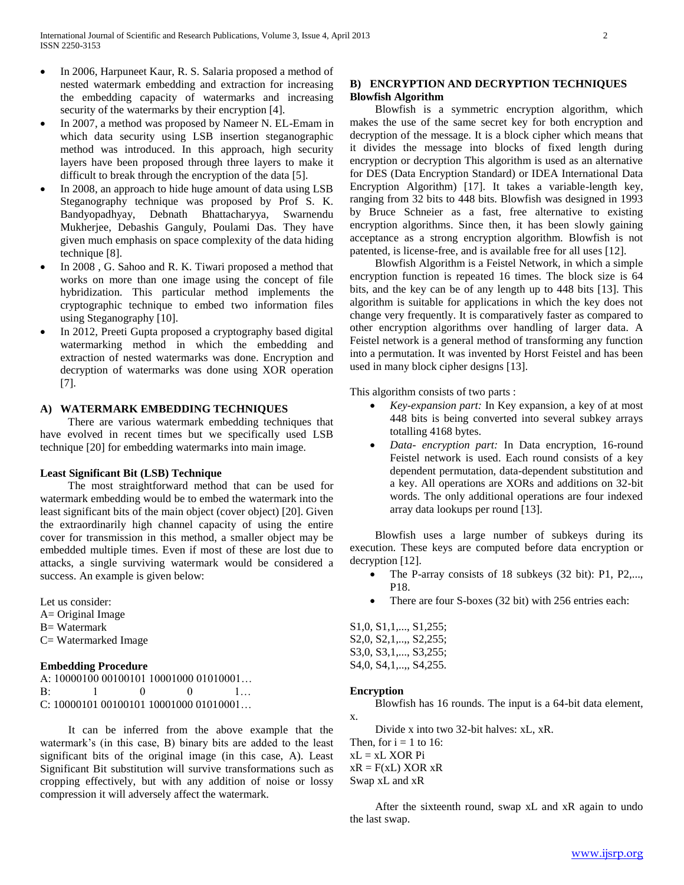- In 2006, Harpuneet Kaur, R. S. Salaria proposed a method of nested watermark embedding and extraction for increasing the embedding capacity of watermarks and increasing security of the watermarks by their encryption [4].
- In 2007, a method was proposed by Nameer N. EL-Emam in which data security using LSB insertion steganographic method was introduced. In this approach, high security layers have been proposed through three layers to make it difficult to break through the encryption of the data [5].
- In 2008, an approach to hide huge amount of data using LSB Steganography technique was proposed by Prof S. K. Bandyopadhyay, Debnath Bhattacharyya, Swarnendu Mukherjee, Debashis Ganguly, Poulami Das. They have given much emphasis on space complexity of the data hiding technique [8].
- In 2008 , G. Sahoo and R. K. Tiwari proposed a method that works on more than one image using the concept of file hybridization. This particular method implements the cryptographic technique to embed two information files using Steganography [10].
- In 2012, Preeti Gupta proposed a cryptography based digital watermarking method in which the embedding and extraction of nested watermarks was done. Encryption and decryption of watermarks was done using XOR operation [7].

### **A) WATERMARK EMBEDDING TECHNIQUES**

 There are various watermark embedding techniques that have evolved in recent times but we specifically used LSB technique [20] for embedding watermarks into main image.

### **Least Significant Bit (LSB) Technique**

 The most straightforward method that can be used for watermark embedding would be to embed the watermark into the least significant bits of the main object (cover object) [20]. Given the extraordinarily high channel capacity of using the entire cover for transmission in this method, a smaller object may be embedded multiple times. Even if most of these are lost due to attacks, a single surviving watermark would be considered a success. An example is given below:

Let us consider:

A= Original Image B= Watermark C= Watermarked Image

### **Embedding Procedure**

A: 10000100 00100101 10001000 01010001… B: 1 0 0 1… C: 10000101 00100101 10001000 01010001…

 It can be inferred from the above example that the watermark's (in this case, B) binary bits are added to the least significant bits of the original image (in this case, A). Least Significant Bit substitution will survive transformations such as cropping effectively, but with any addition of noise or lossy compression it will adversely affect the watermark.

# **B) ENCRYPTION AND DECRYPTION TECHNIQUES Blowfish Algorithm**

 Blowfish is a symmetric encryption algorithm, which makes the use of the same secret key for both encryption and decryption of the message. It is a block cipher which means that it divides the message into blocks of fixed length during encryption or decryption This algorithm is used as an alternative for DES (Data Encryption Standard) or IDEA International Data Encryption Algorithm) [17]. It takes a variable-length key, ranging from 32 bits to 448 bits. Blowfish was designed in 1993 by Bruce Schneier as a fast, free alternative to existing encryption algorithms. Since then, it has been slowly gaining acceptance as a strong encryption algorithm. Blowfish is not patented, is license-free, and is available free for all uses [12].

 Blowfish Algorithm is a Feistel Network, in which a simple encryption function is repeated 16 times. The block size is 64 bits, and the key can be of any length up to 448 bits [13]. This algorithm is suitable for applications in which the key does not change very frequently. It is comparatively faster as compared to other encryption algorithms over handling of larger data. A Feistel network is a general method of transforming any function into a permutation. It was invented by Horst Feistel and has been used in many block cipher designs [13].

This algorithm consists of two parts :

- *Key-expansion part:* In Key expansion, a key of at most 448 bits is being converted into several subkey arrays totalling 4168 bytes.
- *Data- encryption part:* In Data encryption, 16-round Feistel network is used. Each round consists of a key dependent permutation, data-dependent substitution and a key. All operations are XORs and additions on 32-bit words. The only additional operations are four indexed array data lookups per round [13].

 Blowfish uses a large number of subkeys during its execution. These keys are computed before data encryption or decryption [12].

- The P-array consists of 18 subkeys (32 bit): P1, P2,..., P18.
- There are four S-boxes (32 bit) with 256 entries each:

S1,0, S1,1,..., S1,255; S2,0, S2,1,..,, S2,255; S3,0, S3,1,..., S3,255; S4,0, S4,1,..,, S4,255.

#### **Encryption**

Blowfish has 16 rounds. The input is a 64-bit data element,

Divide x into two 32-bit halves: xL, xR.

x.

Then, for  $i = 1$  to 16:  $xL = xL$  XOR Pi  $xR = F(xL) XOR xR$ Swap xL and xR

 After the sixteenth round, swap xL and xR again to undo the last swap.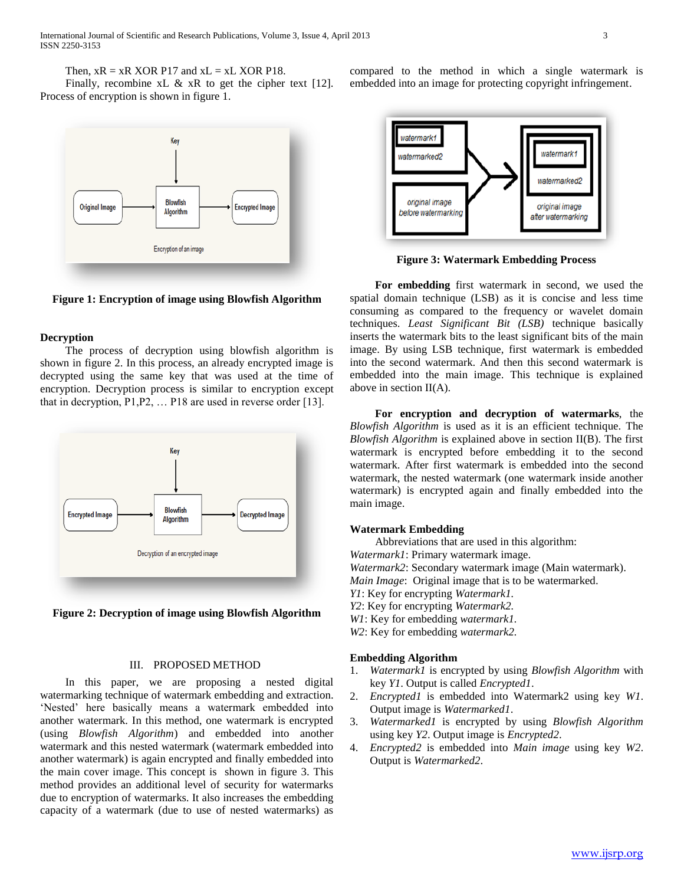Then,  $xR = xR XOR P17$  and  $xL = xL XOR P18$ .

Finally, recombine xL & xR to get the cipher text [12]. Process of encryption is shown in figure 1.



**Figure 1: Encryption of image using Blowfish Algorithm**

### **Decryption**

 The process of decryption using blowfish algorithm is shown in figure 2. In this process, an already encrypted image is decrypted using the same key that was used at the time of encryption. Decryption process is similar to encryption except that in decryption, P1,P2, … P18 are used in reverse order [13].



**Figure 2: Decryption of image using Blowfish Algorithm**

# III. PROPOSED METHOD

 In this paper, we are proposing a nested digital watermarking technique of watermark embedding and extraction. "Nested" here basically means a watermark embedded into another watermark. In this method, one watermark is encrypted (using *Blowfish Algorithm*) and embedded into another watermark and this nested watermark (watermark embedded into another watermark) is again encrypted and finally embedded into the main cover image. This concept is shown in figure 3. This method provides an additional level of security for watermarks due to encryption of watermarks. It also increases the embedding capacity of a watermark (due to use of nested watermarks) as compared to the method in which a single watermark is embedded into an image for protecting copyright infringement.



**Figure 3: Watermark Embedding Process**

 **For embedding** first watermark in second, we used the spatial domain technique (LSB) as it is concise and less time consuming as compared to the frequency or wavelet domain techniques. *Least Significant Bit (LSB)* technique basically inserts the watermark bits to the least significant bits of the main image. By using LSB technique, first watermark is embedded into the second watermark. And then this second watermark is embedded into the main image. This technique is explained above in section II(A).

 **For encryption and decryption of watermarks**, the *Blowfish Algorithm* is used as it is an efficient technique. The *Blowfish Algorithm* is explained above in section II(B). The first watermark is encrypted before embedding it to the second watermark. After first watermark is embedded into the second watermark, the nested watermark (one watermark inside another watermark) is encrypted again and finally embedded into the main image.

### **Watermark Embedding**

Abbreviations that are used in this algorithm:

*Watermark1*: Primary watermark image.

*Watermark2*: Secondary watermark image (Main watermark).

*Main Image*: Original image that is to be watermarked.

- *Y1*: Key for encrypting *Watermark1.*
- *Y2*: Key for encrypting *Watermark2.*
- *W1*: Key for embedding *watermark1.*
- *W2*: Key for embedding *watermark2.*

# **Embedding Algorithm**

- 1. *Watermark1* is encrypted by using *Blowfish Algorithm* with key *Y1*. Output is called *Encrypted1*.
- 2. *Encrypted1* is embedded into Watermark2 using key *W1*. Output image is *Watermarked1*.
- 3. *Watermarked1* is encrypted by using *Blowfish Algorithm* using key *Y2*. Output image is *Encrypted2*.
- 4. *Encrypted2* is embedded into *Main image* using key *W2*. Output is *Watermarked2*.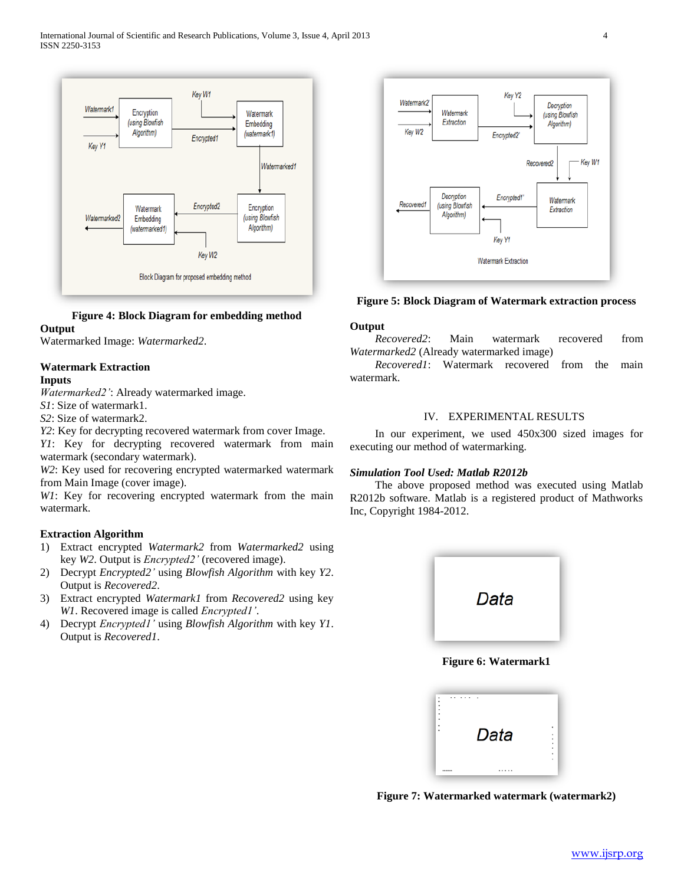

# **Figure 4: Block Diagram for embedding method**

# **Output**

Watermarked Image: *Watermarked2*.

# **Watermark Extraction**

# **Inputs**

*Watermarked2'*: Already watermarked image.

*S1*: Size of watermark1.

*S2*: Size of watermark2.

*Y2*: Key for decrypting recovered watermark from cover Image.

*Y1*: Key for decrypting recovered watermark from main watermark (secondary watermark).

*W2*: Key used for recovering encrypted watermarked watermark from Main Image (cover image).

*W1*: Key for recovering encrypted watermark from the main watermark.

# **Extraction Algorithm**

- 1) Extract encrypted *Watermark2* from *Watermarked2* using key *W2*. Output is *Encrypted2'* (recovered image).
- 2) Decrypt *Encrypted2'* using *Blowfish Algorithm* with key *Y2*. Output is *Recovered2*.
- 3) Extract encrypted *Watermark1* from *Recovered2* using key *W1*. Recovered image is called *Encrypted1'*.
- 4) Decrypt *Encrypted1'* using *Blowfish Algorithm* with key *Y1*. Output is *Recovered1*.



**Figure 5: Block Diagram of Watermark extraction process**

# **Output**

 *Recovered2*: Main watermark recovered from *Watermarked2* (Already watermarked image)

 *Recovered1*: Watermark recovered from the main watermark.

# IV. EXPERIMENTAL RESULTS

 In our experiment, we used 450x300 sized images for executing our method of watermarking.

# *Simulation Tool Used: Matlab R2012b*

 The above proposed method was executed using Matlab R2012b software. Matlab is a registered product of Mathworks Inc, Copyright 1984-2012.



# **Figure 6: Watermark1**

|         | Data |  |
|---------|------|--|
|         |      |  |
|         |      |  |
|         |      |  |
|         |      |  |
|         |      |  |
| ******* |      |  |

**Figure 7: Watermarked watermark (watermark2)**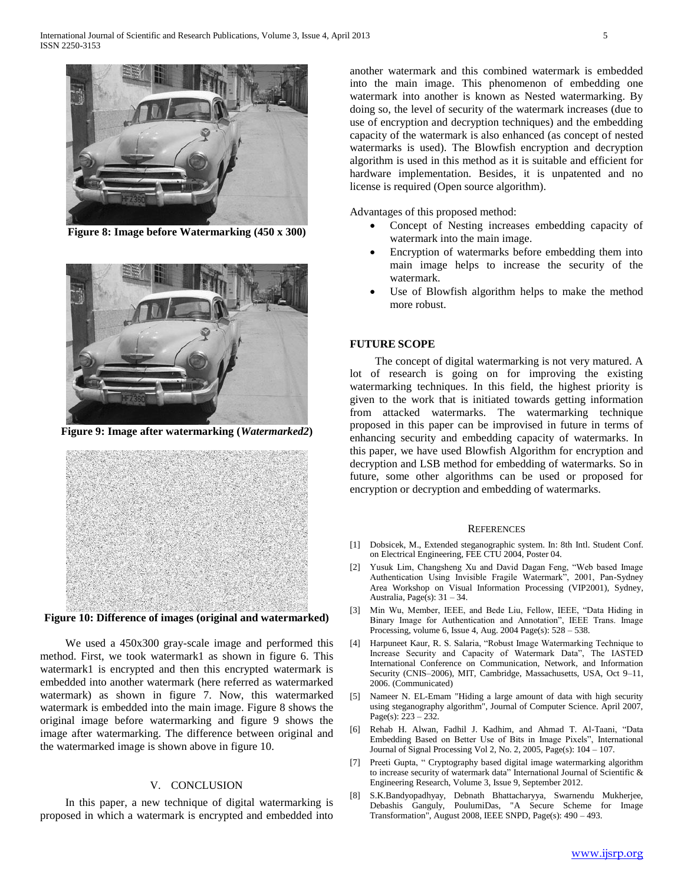

**Figure 8: Image before Watermarking (450 x 300)**



**Figure 9: Image after watermarking (***Watermarked2***)**



**Figure 10: Difference of images (original and watermarked)**

 We used a 450x300 gray-scale image and performed this method. First, we took watermark1 as shown in figure 6. This watermark1 is encrypted and then this encrypted watermark is embedded into another watermark (here referred as watermarked watermark) as shown in figure 7. Now, this watermarked watermark is embedded into the main image. Figure 8 shows the original image before watermarking and figure 9 shows the image after watermarking. The difference between original and the watermarked image is shown above in figure 10.

# V. CONCLUSION

 In this paper, a new technique of digital watermarking is proposed in which a watermark is encrypted and embedded into another watermark and this combined watermark is embedded into the main image. This phenomenon of embedding one watermark into another is known as Nested watermarking. By doing so, the level of security of the watermark increases (due to use of encryption and decryption techniques) and the embedding capacity of the watermark is also enhanced (as concept of nested watermarks is used). The Blowfish encryption and decryption algorithm is used in this method as it is suitable and efficient for hardware implementation. Besides, it is unpatented and no license is required (Open source algorithm).

Advantages of this proposed method:

- Concept of Nesting increases embedding capacity of watermark into the main image.
- Encryption of watermarks before embedding them into main image helps to increase the security of the watermark.
- Use of Blowfish algorithm helps to make the method more robust.

### **FUTURE SCOPE**

 The concept of digital watermarking is not very matured. A lot of research is going on for improving the existing watermarking techniques. In this field, the highest priority is given to the work that is initiated towards getting information from attacked watermarks. The watermarking technique proposed in this paper can be improvised in future in terms of enhancing security and embedding capacity of watermarks. In this paper, we have used Blowfish Algorithm for encryption and decryption and LSB method for embedding of watermarks. So in future, some other algorithms can be used or proposed for encryption or decryption and embedding of watermarks.

#### **REFERENCES**

- [1] Dobsicek, M., Extended steganographic system. In: 8th Intl. Student Conf. on Electrical Engineering, FEE CTU 2004, Poster 04.
- [2] Yusuk Lim, Changsheng Xu and David Dagan Feng, "Web based Image Authentication Using Invisible Fragile Watermark", 2001, Pan-Sydney Area Workshop on Visual Information Processing (VIP2001), Sydney, Australia, Page(s): 31 – 34.
- [3] Min Wu, Member, IEEE, and Bede Liu, Fellow, IEEE, "Data Hiding in Binary Image for Authentication and Annotation", IEEE Trans. Image Processing, volume 6, Issue 4, Aug. 2004 Page(s): 528 – 538.
- [4] Harpuneet Kaur, R. S. Salaria, "Robust Image Watermarking Technique to Increase Security and Capacity of Watermark Data", The IASTED International Conference on Communication, Network, and Information Security (CNIS–2006), MIT, Cambridge, Massachusetts, USA, Oct 9–11, 2006. (Communicated)
- [5] Nameer N. EL-Emam "Hiding a large amount of data with high security using steganography algorithm", Journal of Computer Science. April 2007, Page(s): 223 – 232.
- [6] Rehab H. Alwan, Fadhil J. Kadhim, and Ahmad T. Al-Taani, "Data Embedding Based on Better Use of Bits in Image Pixels", International Journal of Signal Processing Vol 2, No. 2, 2005, Page(s): 104 – 107.
- [7] Preeti Gupta, " Cryptography based digital image watermarking algorithm to increase security of watermark data" International Journal of Scientific & Engineering Research, Volume 3, Issue 9, September 2012.
- [8] S.K.Bandyopadhyay, Debnath Bhattacharyya, Swarnendu Mukherjee, Debashis Ganguly, PoulumiDas, "A Secure Scheme for Image Transformation", August 2008, IEEE SNPD, Page(s): 490 – 493.